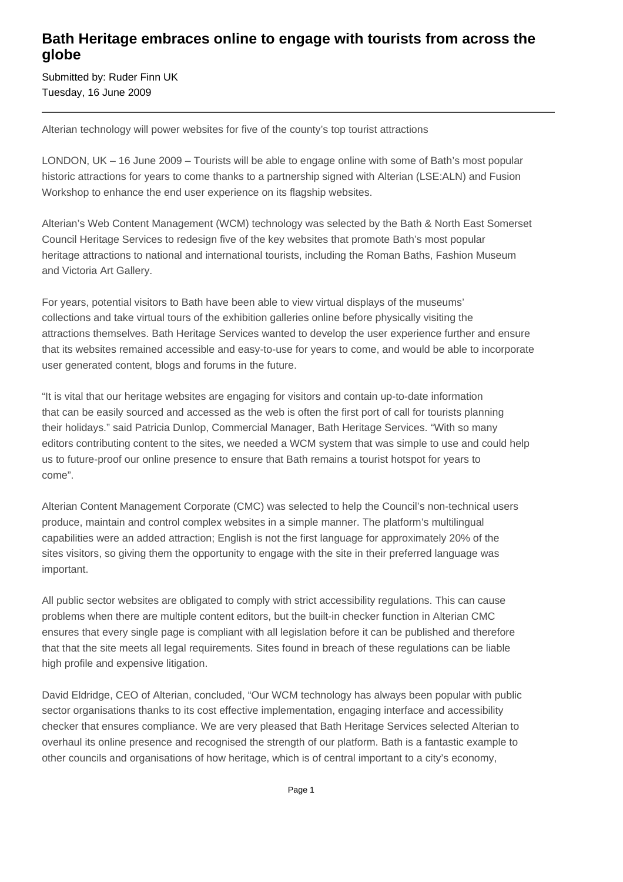## **Bath Heritage embraces online to engage with tourists from across the globe**

Submitted by: Ruder Finn UK Tuesday, 16 June 2009

Alterian technology will power websites for five of the county's top tourist attractions

LONDON, UK – 16 June 2009 – Tourists will be able to engage online with some of Bath's most popular historic attractions for years to come thanks to a partnership signed with Alterian (LSE:ALN) and Fusion Workshop to enhance the end user experience on its flagship websites.

Alterian's Web Content Management (WCM) technology was selected by the Bath & North East Somerset Council Heritage Services to redesign five of the key websites that promote Bath's most popular heritage attractions to national and international tourists, including the Roman Baths, Fashion Museum and Victoria Art Gallery.

For years, potential visitors to Bath have been able to view virtual displays of the museums' collections and take virtual tours of the exhibition galleries online before physically visiting the attractions themselves. Bath Heritage Services wanted to develop the user experience further and ensure that its websites remained accessible and easy-to-use for years to come, and would be able to incorporate user generated content, blogs and forums in the future.

"It is vital that our heritage websites are engaging for visitors and contain up-to-date information that can be easily sourced and accessed as the web is often the first port of call for tourists planning their holidays." said Patricia Dunlop, Commercial Manager, Bath Heritage Services. "With so many editors contributing content to the sites, we needed a WCM system that was simple to use and could help us to future-proof our online presence to ensure that Bath remains a tourist hotspot for years to come".

Alterian Content Management Corporate (CMC) was selected to help the Council's non-technical users produce, maintain and control complex websites in a simple manner. The platform's multilingual capabilities were an added attraction; English is not the first language for approximately 20% of the sites visitors, so giving them the opportunity to engage with the site in their preferred language was important.

All public sector websites are obligated to comply with strict accessibility regulations. This can cause problems when there are multiple content editors, but the built-in checker function in Alterian CMC ensures that every single page is compliant with all legislation before it can be published and therefore that that the site meets all legal requirements. Sites found in breach of these regulations can be liable high profile and expensive litigation.

David Eldridge, CEO of Alterian, concluded, "Our WCM technology has always been popular with public sector organisations thanks to its cost effective implementation, engaging interface and accessibility checker that ensures compliance. We are very pleased that Bath Heritage Services selected Alterian to overhaul its online presence and recognised the strength of our platform. Bath is a fantastic example to other councils and organisations of how heritage, which is of central important to a city's economy,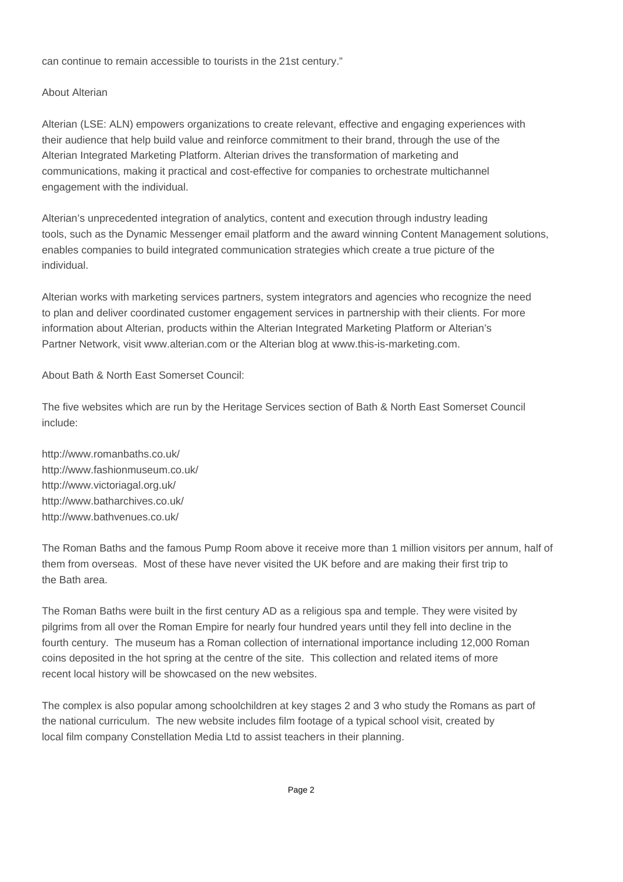can continue to remain accessible to tourists in the 21st century."

### About Alterian

Alterian (LSE: ALN) empowers organizations to create relevant, effective and engaging experiences with their audience that help build value and reinforce commitment to their brand, through the use of the Alterian Integrated Marketing Platform. Alterian drives the transformation of marketing and communications, making it practical and cost-effective for companies to orchestrate multichannel engagement with the individual.

Alterian's unprecedented integration of analytics, content and execution through industry leading tools, such as the Dynamic Messenger email platform and the award winning Content Management solutions, enables companies to build integrated communication strategies which create a true picture of the individual.

Alterian works with marketing services partners, system integrators and agencies who recognize the need to plan and deliver coordinated customer engagement services in partnership with their clients. For more information about Alterian, products within the Alterian Integrated Marketing Platform or Alterian's Partner Network, visit www.alterian.com or the Alterian blog at www.this-is-marketing.com.

About Bath & North East Somerset Council:

The five websites which are run by the Heritage Services section of Bath & North East Somerset Council include:

http://www.romanbaths.co.uk/ http://www.fashionmuseum.co.uk/ http://www.victoriagal.org.uk/ http://www.batharchives.co.uk/ http://www.bathvenues.co.uk/

The Roman Baths and the famous Pump Room above it receive more than 1 million visitors per annum, half of them from overseas. Most of these have never visited the UK before and are making their first trip to the Bath area.

The Roman Baths were built in the first century AD as a religious spa and temple. They were visited by pilgrims from all over the Roman Empire for nearly four hundred years until they fell into decline in the fourth century. The museum has a Roman collection of international importance including 12,000 Roman coins deposited in the hot spring at the centre of the site. This collection and related items of more recent local history will be showcased on the new websites.

The complex is also popular among schoolchildren at key stages 2 and 3 who study the Romans as part of the national curriculum. The new website includes film footage of a typical school visit, created by local film company Constellation Media Ltd to assist teachers in their planning.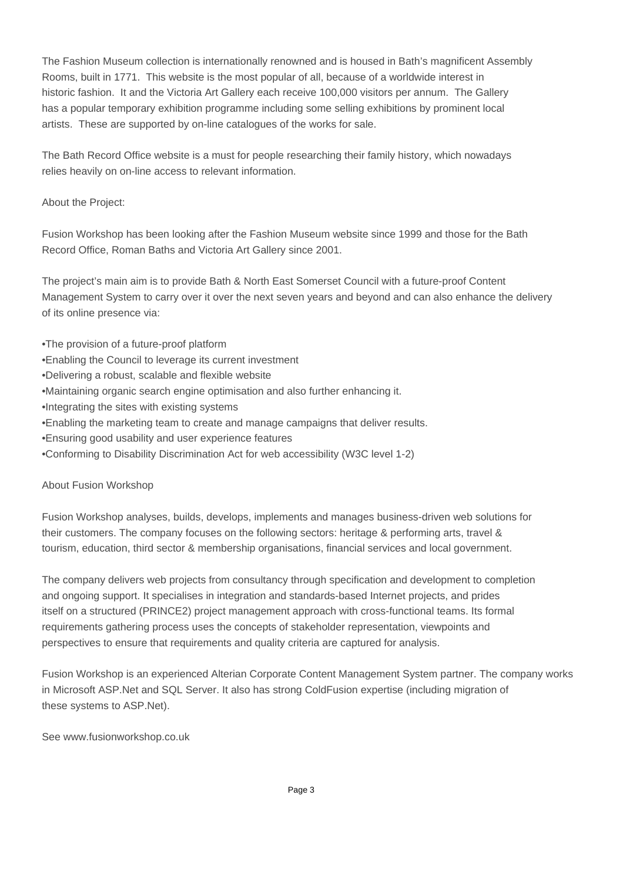The Fashion Museum collection is internationally renowned and is housed in Bath's magnificent Assembly Rooms, built in 1771. This website is the most popular of all, because of a worldwide interest in historic fashion. It and the Victoria Art Gallery each receive 100,000 visitors per annum. The Gallery has a popular temporary exhibition programme including some selling exhibitions by prominent local artists. These are supported by on-line catalogues of the works for sale.

The Bath Record Office website is a must for people researching their family history, which nowadays relies heavily on on-line access to relevant information.

#### About the Project:

Fusion Workshop has been looking after the Fashion Museum website since 1999 and those for the Bath Record Office, Roman Baths and Victoria Art Gallery since 2001.

The project's main aim is to provide Bath & North East Somerset Council with a future-proof Content Management System to carry over it over the next seven years and beyond and can also enhance the delivery of its online presence via:

- The provision of a future-proof platform
- • Enabling the Council to leverage its current investment
- • Delivering a robust, scalable and flexible website
- • Maintaining organic search engine optimisation and also further enhancing it.
- Integrating the sites with existing systems
- • Enabling the marketing team to create and manage campaigns that deliver results.
- Ensuring good usability and user experience features
- • Conforming to Disability Discrimination Act for web accessibility (W3C level 1-2)

#### About Fusion Workshop

Fusion Workshop analyses, builds, develops, implements and manages business-driven web solutions for their customers. The company focuses on the following sectors: heritage & performing arts, travel & tourism, education, third sector & membership organisations, financial services and local government.

The company delivers web projects from consultancy through specification and development to completion and ongoing support. It specialises in integration and standards-based Internet projects, and prides itself on a structured (PRINCE2) project management approach with cross-functional teams. Its formal requirements gathering process uses the concepts of stakeholder representation, viewpoints and perspectives to ensure that requirements and quality criteria are captured for analysis.

Fusion Workshop is an experienced Alterian Corporate Content Management System partner. The company works in Microsoft ASP.Net and SQL Server. It also has strong ColdFusion expertise (including migration of these systems to ASP.Net).

See www.fusionworkshop.co.uk